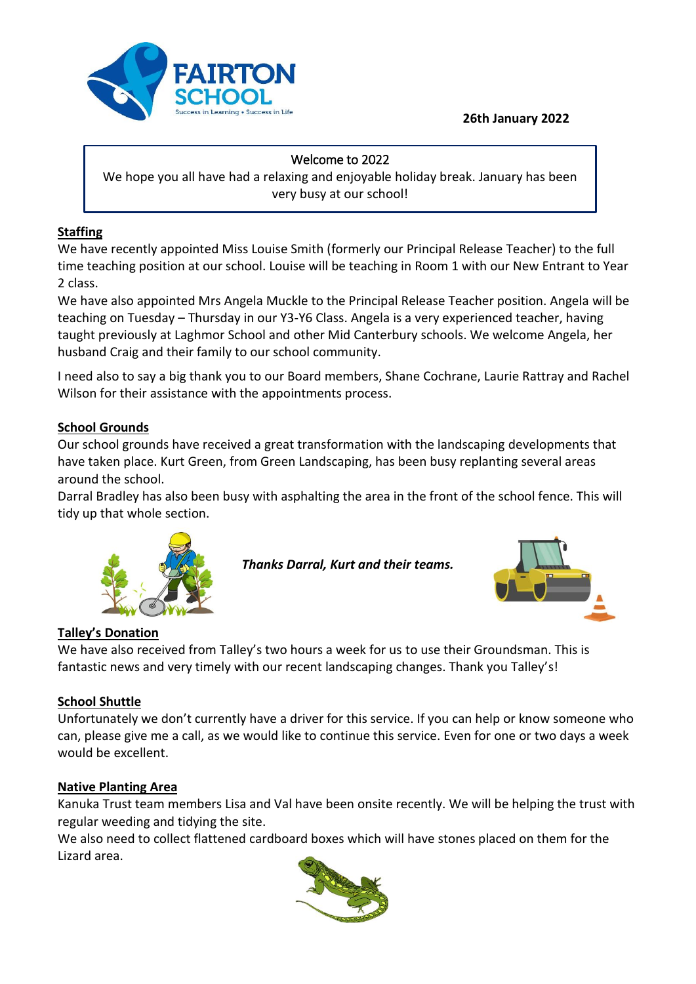### **26th January 2022**



#### Welcome to 2022

We hope you all have had a relaxing and enjoyable holiday break. January has been very busy at our school!

## **Staffing**

We have recently appointed Miss Louise Smith (formerly our Principal Release Teacher) to the full time teaching position at our school. Louise will be teaching in Room 1 with our New Entrant to Year 2 class.

We have also appointed Mrs Angela Muckle to the Principal Release Teacher position. Angela will be teaching on Tuesday – Thursday in our Y3-Y6 Class. Angela is a very experienced teacher, having taught previously at Laghmor School and other Mid Canterbury schools. We welcome Angela, her husband Craig and their family to our school community.

I need also to say a big thank you to our Board members, Shane Cochrane, Laurie Rattray and Rachel Wilson for their assistance with the appointments process.

## **School Grounds**

Our school grounds have received a great transformation with the landscaping developments that have taken place. Kurt Green, from Green Landscaping, has been busy replanting several areas around the school.

Darral Bradley has also been busy with asphalting the area in the front of the school fence. This will tidy up that whole section.

*Thanks Darral, Kurt and their teams.*



# **Talley's Donation**

We have also received from Talley's two hours a week for us to use their Groundsman. This is fantastic news and very timely with our recent landscaping changes. Thank you Talley's!

## **School Shuttle**

Unfortunately we don't currently have a driver for this service. If you can help or know someone who can, please give me a call, as we would like to continue this service. Even for one or two days a week would be excellent.

## **Native Planting Area**

Kanuka Trust team members Lisa and Val have been onsite recently. We will be helping the trust with regular weeding and tidying the site.

We also need to collect flattened cardboard boxes which will have stones placed on them for the Lizard area.